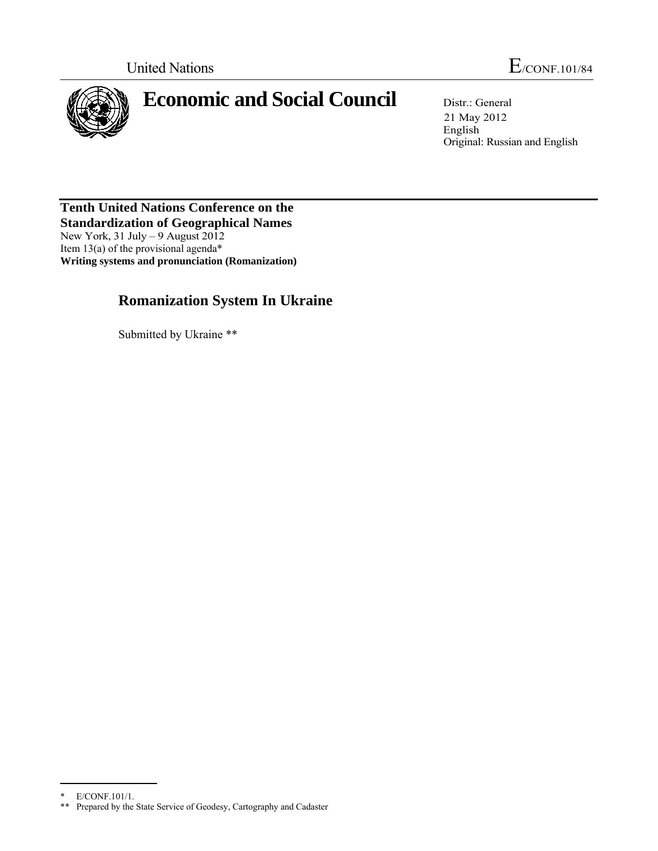

# **Economic and Social Council** Distr.: General

 21 May 2012 English Original: Russian and English

**Tenth United Nations Conference on the Standardization of Geographical Names**  New York, 31 July – 9 August 2012 Item 13(a) of the provisional agenda\* **Writing systems and pronunciation (Romanization)** 

## **Romanization System In Ukraine**

Submitted by Ukraine \*\*

<sup>\*</sup> E/CONF.101/1.

<sup>\*\*</sup> Prepared by the State Service of Geodesy, Cartography and Cadaster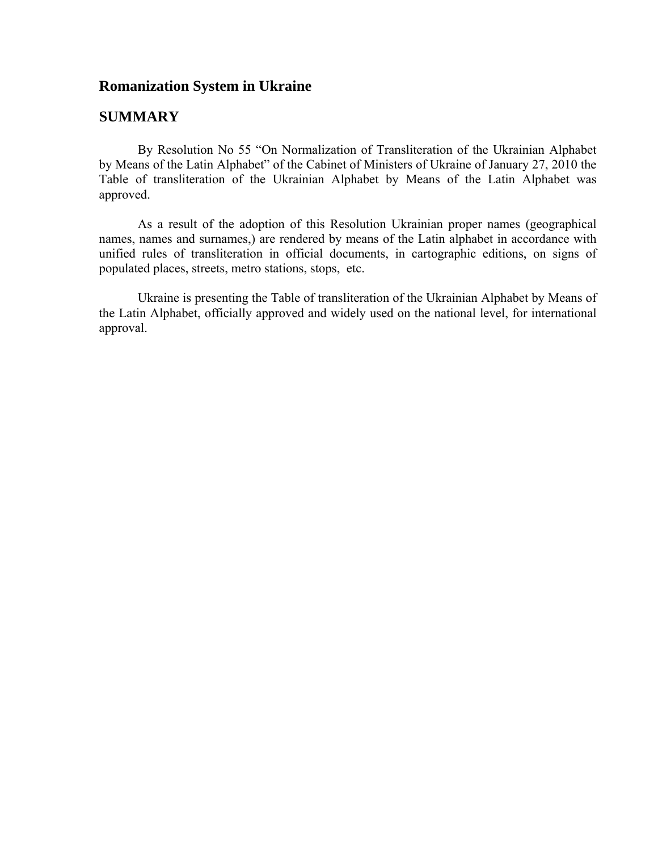### **Romanization System in Ukraine**

#### **SUMMARY**

By Resolution No 55 "On Normalization of Transliteration of the Ukrainian Alphabet by Means of the Latin Alphabet" of the Cabinet of Ministers of Ukraine of January 27, 2010 the Table of transliteration of the Ukrainian Alphabet by Means of the Latin Alphabet was approved.

As a result of the adoption of this Resolution Ukrainian proper names (geographical names, names and surnames,) are rendered by means of the Latin alphabet in accordance with unified rules of transliteration in official documents, in cartographic editions, on signs of populated places, streets, metro stations, stops, etc.

Ukraine is presenting the Table of transliteration of the Ukrainian Alphabet by Means of the Latin Alphabet, officially approved and widely used on the national level, for international approval.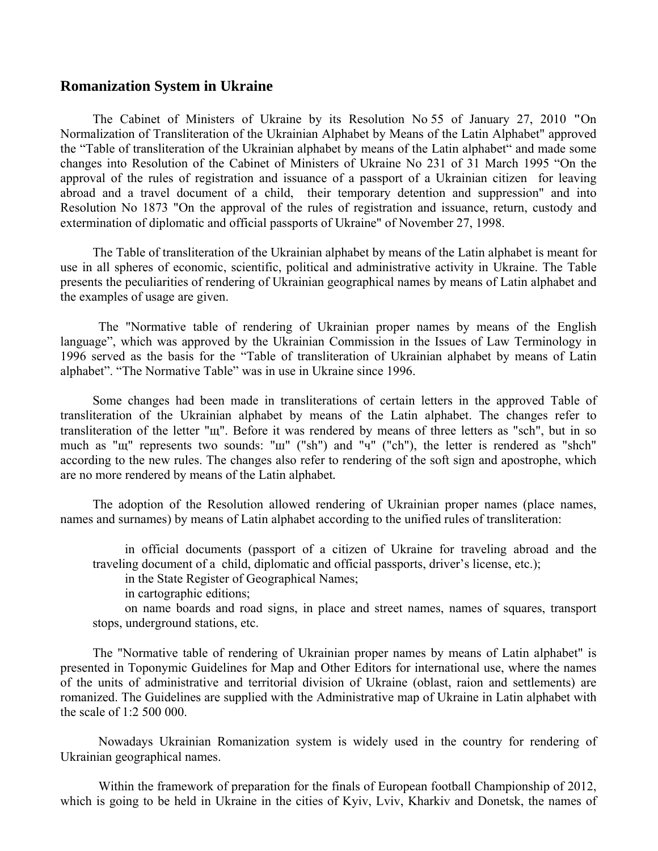#### **Romanization System in Ukraine**

The Cabinet of Ministers of Ukraine by its Resolution No 55 of January 27, 2010 **"**On Normalization of Transliteration of the Ukrainian Alphabet by Means of the Latin Alphabet" approved the "Table of transliteration of the Ukrainian alphabet by means of the Latin alphabet" and made some changes into Resolution of the Cabinet of Ministers of Ukraine No 231 of 31 March 1995 "On the approval of the rules of registration and issuance of a passport of a Ukrainian citizen for leaving abroad and a travel document of a child, their temporary detention and suppression" and into Resolution No 1873 "On the approval of the rules of registration and issuance, return, custody and extermination of diplomatic and official passports of Ukraine" of November 27, 1998.

The Table of transliteration of the Ukrainian alphabet by means of the Latin alphabet is meant for use in all spheres of economic, scientific, political and administrative activity in Ukraine. The Table presents the peculiarities of rendering of Ukrainian geographical names by means of Latin alphabet and the examples of usage are given.

The "Normative table of rendering of Ukrainian proper names by means of the English language", which was approved by the Ukrainian Commission in the Issues of Law Terminology in 1996 served as the basis for the "Table of transliteration of Ukrainian alphabet by means of Latin alphabet". "The Normative Table" was in use in Ukraine since 1996.

Some changes had been made in transliterations of certain letters in the approved Table of transliteration of the Ukrainian alphabet by means of the Latin alphabet. The changes refer to transliteration of the letter "щ". Before it was rendered by means of three letters as "sch", but in so much as "щ" represents two sounds: "ш" ("sh") and "ч" ("ch"), the letter is rendered as "shch" according to the new rules. The changes also refer to rendering of the soft sign and apostrophe, which are no more rendered by means of the Latin alphabet*.*

The adoption of the Resolution allowed rendering of Ukrainian proper names (place names, names and surnames) by means of Latin alphabet according to the unified rules of transliteration:

in official documents (passport of a citizen of Ukraine for traveling abroad and the traveling document of a child, diplomatic and official passports, driver's license, etc.);

in the State Register of Geographical Names;

in cartographic editions;

on name boards and road signs, in place and street names, names of squares, transport stops, underground stations, etc.

The "Normative table of rendering of Ukrainian proper names by means of Latin alphabet" is presented in Toponymic Guidelines for Map and Other Editors for international use, where the names of the units of administrative and territorial division of Ukraine (oblast, raion and settlements) are romanized. The Guidelines are supplied with the Administrative map of Ukraine in Latin alphabet with the scale of 1:2 500 000.

Nowadays Ukrainian Romanization system is widely used in the country for rendering of Ukrainian geographical names.

Within the framework of preparation for the finals of European football Championship of 2012, which is going to be held in Ukraine in the cities of Kyiv, Lviv, Kharkiv and Donetsk, the names of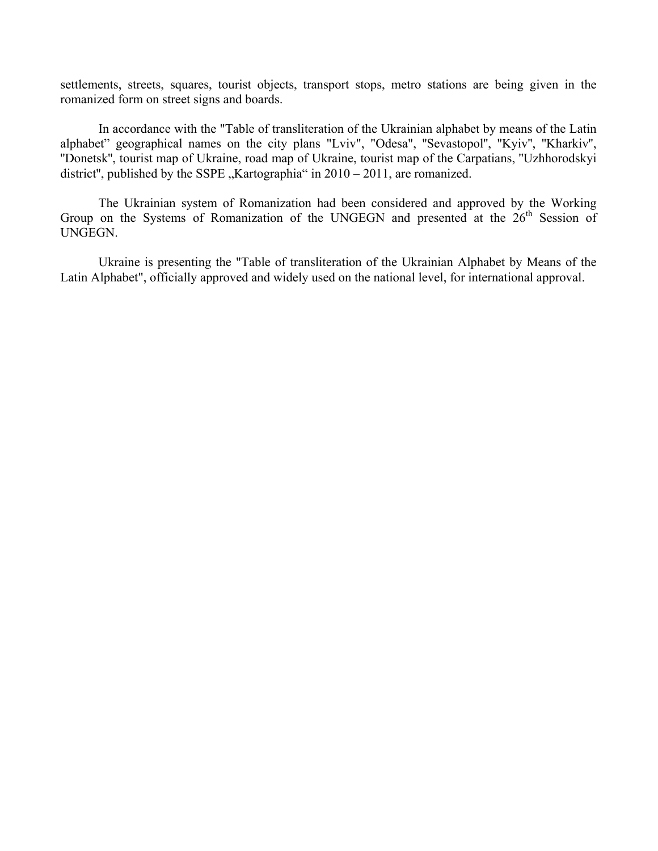settlements, streets, squares, tourist objects, transport stops, metro stations are being given in the romanized form on street signs and boards.

In accordance with the "Table of transliteration of the Ukrainian alphabet by means of the Latin alphabet" geographical names on the city plans "Lviv", "Odesa", ''Sevastopol'', ''Kyiv'', ''Kharkiv'', ''Donetsk'', tourist map of Ukraine, road map of Ukraine, tourist map of the Carpatians, ''Uzhhorodskyi district", published by the SSPE "Kartographia" in  $2010 - 2011$ , are romanized.

The Ukrainian system of Romanization had been considered and approved by the Working Group on the Systems of Romanization of the UNGEGN and presented at the  $26<sup>th</sup>$  Session of UNGEGN.

Ukraine is presenting the "Table of transliteration of the Ukrainian Alphabet by Means of the Latin Alphabet", officially approved and widely used on the national level, for international approval.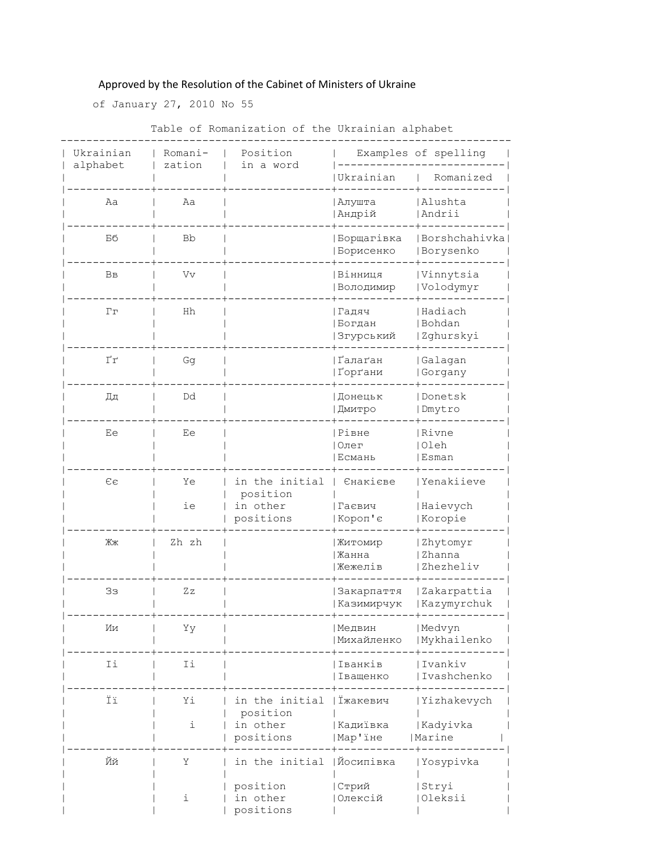#### Approved by the Resolution of the Cabinet of Ministers of Ukraine

of January 27, 2010 No 55

Table of Romanization of the Ukrainian alphabet

| Ukrainian<br>alphabet | Romani-<br>zation | Position                                            | Examples of spelling             |                                       |
|-----------------------|-------------------|-----------------------------------------------------|----------------------------------|---------------------------------------|
|                       |                   | in a word                                           | Ukrainian                        | Romanized                             |
| Aa                    | Aa                |                                                     | Алушта<br> Андрій                | <b>Alushta</b><br>  Andrii            |
| Бб                    | Bb                |                                                     | Борщагівка<br>Борисенко          | Borshchahivka<br>Borysenko            |
| Bв                    | Vv                |                                                     | Вінниця<br>Володимир             | Vinnytsia<br>Volodymyr                |
| Γг                    | Hh                |                                                     | Гадяч<br> Богдан<br>Згурський    | <b>Hadiach</b><br>Bohdan<br>Zghurskyi |
| Гr                    | Gg                |                                                     | Галаґан<br>  Ґорґани             | Galagan<br>  Gorgany                  |
| Дд                    | Dd                |                                                     | Донецьк<br>  Дмитро              | Donetsk<br>Dmytro                     |
| Ee                    | Ee                |                                                     | Pibhe<br> Олег<br>Есмань         | <b>IRivne</b><br>  Oleh<br>Esman      |
| $\in\in$              | Ye<br>ie          | in the initial<br>position<br>in other<br>positions | Єнакієве<br>  Гаєвич<br>∣Короп'є | Yenakiieve<br>Haievych<br>Koropie     |
| Жж                    | Zh zh             |                                                     | Житомир<br>Жанна<br>Жежелів      | Zhytomyr<br>Zhanna<br>Zhezheliv       |
| Зз                    | Ζz                |                                                     | Закарпаття<br> Казимирчук        | Zakarpattia<br>Kazymyrchuk            |
| Ии                    | Υy                |                                                     | Медвин<br>Михайленко             | Medvyn<br> Mykhailenko                |
| Ii                    | Ii                |                                                     | Іванків<br>Іващенко              | Ivankiv<br>Ivashchenko                |
| Ϊï                    | Υi<br>i           | in the initial<br>position<br>in other<br>positions | Їжакевич<br> Кадиївка<br>Map'ïне | Yizhakevych<br> Kadyivka<br> Marine   |
| Йй                    | Υ                 | in the initial                                      | Йосипівка                        | Yosypivka                             |
|                       | i                 | position<br>in other<br>positions                   | Стрий<br> Олексій                | Stryi<br>Oleksii                      |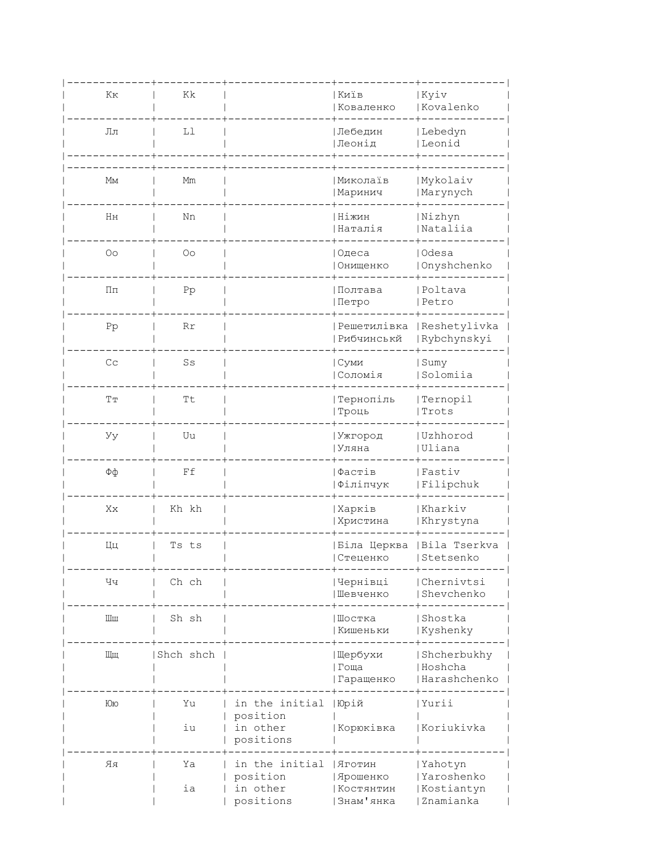| Кк                       | Κk         |                                                     | Київ<br>Коваленко                             | Kyiv<br>Kovalenko                                |
|--------------------------|------------|-----------------------------------------------------|-----------------------------------------------|--------------------------------------------------|
| Лл                       | Ll         |                                                     | Лебедин<br> Леонід                            | Lebedyn<br> Leonid                               |
| Μм                       | Mm         |                                                     | Миколаїв<br>  Маринич                         | Mykolaiv<br> Marynych                            |
| Hн                       | Nn         |                                                     | Ніжин<br> Наталія                             | Nizhyn<br> Nataliia                              |
| $\circ$                  | $\circ$    |                                                     | Одеса<br>Онищенко                             | Odesa<br>Onyshchenko                             |
| Πп                       | ${\rm Pp}$ |                                                     | Полтава<br>  Петро                            | Poltava<br>  Petro                               |
| Pp                       | Rr         |                                                     | Решетилівка<br>  Рибчинськй                   | Reshetylivka<br>  Rybchynskyi                    |
| C <sub>C</sub>           | Ss         |                                                     | Суми<br>Соломія                               | Sumy<br>Solomiia                                 |
| $\mathbb{T}\,\mathbb{T}$ | Τt         |                                                     | Тернопіль<br>Троць                            | Ternopil<br>Trots                                |
| Уy                       | Uu         |                                                     | Ужгород<br>Уляна                              | Uzhhorod<br>Uliana                               |
| Фф                       | Ff         |                                                     | Фастів<br>Філіпчук                            | Fastiv<br>Filipchuk                              |
| Xx                       | Kh kh      |                                                     | Харків<br>Христина                            | Kharkiv<br>Khrystyna                             |
| Цц                       | Ts ts      |                                                     | Біла Церква<br>Стеценко                       | Bila Tserkva<br>Stetsenko                        |
| Чч                       | Ch ch      |                                                     | Чернівці<br>Шевченко                          | Chernivtsi<br>Shevchenko                         |
| Шш                       | Sh sh      |                                                     | Шостка<br>Кишеньки                            | Shostka<br>Kyshenky                              |
| Щщ                       | Shch shch  |                                                     | Щербухи<br>  Гоща<br><b>Гаращенко</b>         | Shcherbukhy<br><b>Hoshcha</b><br>Harashchenko    |
| Юю                       | Yu<br>iu   | in the initial<br>position<br>in other<br>positions | Юрій<br>Корюківка                             | Yurii<br>Koriukivka                              |
| RR                       | Ya<br>ia   | in the initial<br>position<br>in other<br>positions | HNTOTR<br> Ярошенко<br>KOCTAHTMH<br>Знам'янка | Yahotyn<br>Yaroshenko<br>Kostiantyn<br>Znamianka |